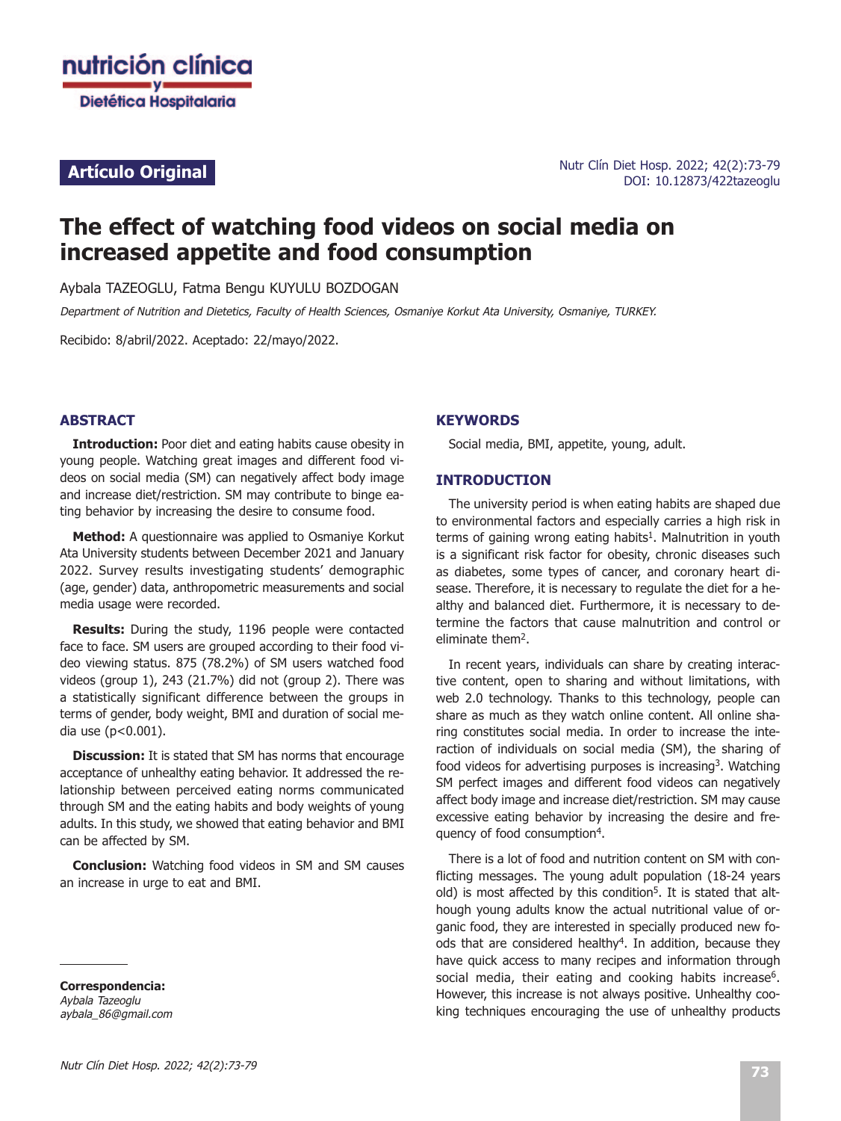

# **Artículo Original**

# **The effect of watching food videos on social media on increased appetite and food consumption**

Aybala TAZEOGLU, Fatma Bengu KUYULU BOZDOGAN

Department of Nutrition and Dietetics, Faculty of Health Sciences, Osmaniye Korkut Ata University, Osmaniye, TURKEY.

Recibido: 8/abril/2022. Aceptado: 22/mayo/2022.

# **ABSTRACT**

**Introduction:** Poor diet and eating habits cause obesity in young people. Watching great images and different food videos on social media (SM) can negatively affect body image and increase diet/restriction. SM may contribute to binge eating behavior by increasing the desire to consume food.

**Method:** A questionnaire was applied to Osmaniye Korkut Ata University students between December 2021 and January 2022. Survey results investigating students' demographic (age, gender) data, anthropometric measurements and social media usage were recorded.

**Results:** During the study, 1196 people were contacted face to face. SM users are grouped according to their food video viewing status. 875 (78.2%) of SM users watched food videos (group 1), 243 (21.7%) did not (group 2). There was a statistically significant difference between the groups in terms of gender, body weight, BMI and duration of social media use (p<0.001).

**Discussion:** It is stated that SM has norms that encourage acceptance of unhealthy eating behavior. It addressed the relationship between perceived eating norms communicated through SM and the eating habits and body weights of young adults. In this study, we showed that eating behavior and BMI can be affected by SM.

**Conclusion:** Watching food videos in SM and SM causes an increase in urge to eat and BMI.

**Correspondencia:** Aybala Tazeoglu aybala\_86@gmail.com

#### **KEYWORDS**

Social media, BMI, appetite, young, adult.

#### **INTRODUCTION**

The university period is when eating habits are shaped due to environmental factors and especially carries a high risk in terms of gaining wrong eating habits<sup>1</sup>. Malnutrition in youth is a significant risk factor for obesity, chronic diseases such as diabetes, some types of cancer, and coronary heart disease. Therefore, it is necessary to regulate the diet for a healthy and balanced diet. Furthermore, it is necessary to determine the factors that cause malnutrition and control or eliminate them2.

In recent years, individuals can share by creating interactive content, open to sharing and without limitations, with web 2.0 technology. Thanks to this technology, people can share as much as they watch online content. All online sharing constitutes social media. In order to increase the interaction of individuals on social media (SM), the sharing of food videos for advertising purposes is increasing<sup>3</sup>. Watching SM perfect images and different food videos can negatively affect body image and increase diet/restriction. SM may cause excessive eating behavior by increasing the desire and frequency of food consumption4.

There is a lot of food and nutrition content on SM with conflicting messages. The young adult population (18-24 years old) is most affected by this condition<sup>5</sup>. It is stated that although young adults know the actual nutritional value of organic food, they are interested in specially produced new foods that are considered healthy<sup>4</sup>. In addition, because they have quick access to many recipes and information through social media, their eating and cooking habits increase<sup>6</sup>. However, this increase is not always positive. Unhealthy cooking techniques encouraging the use of unhealthy products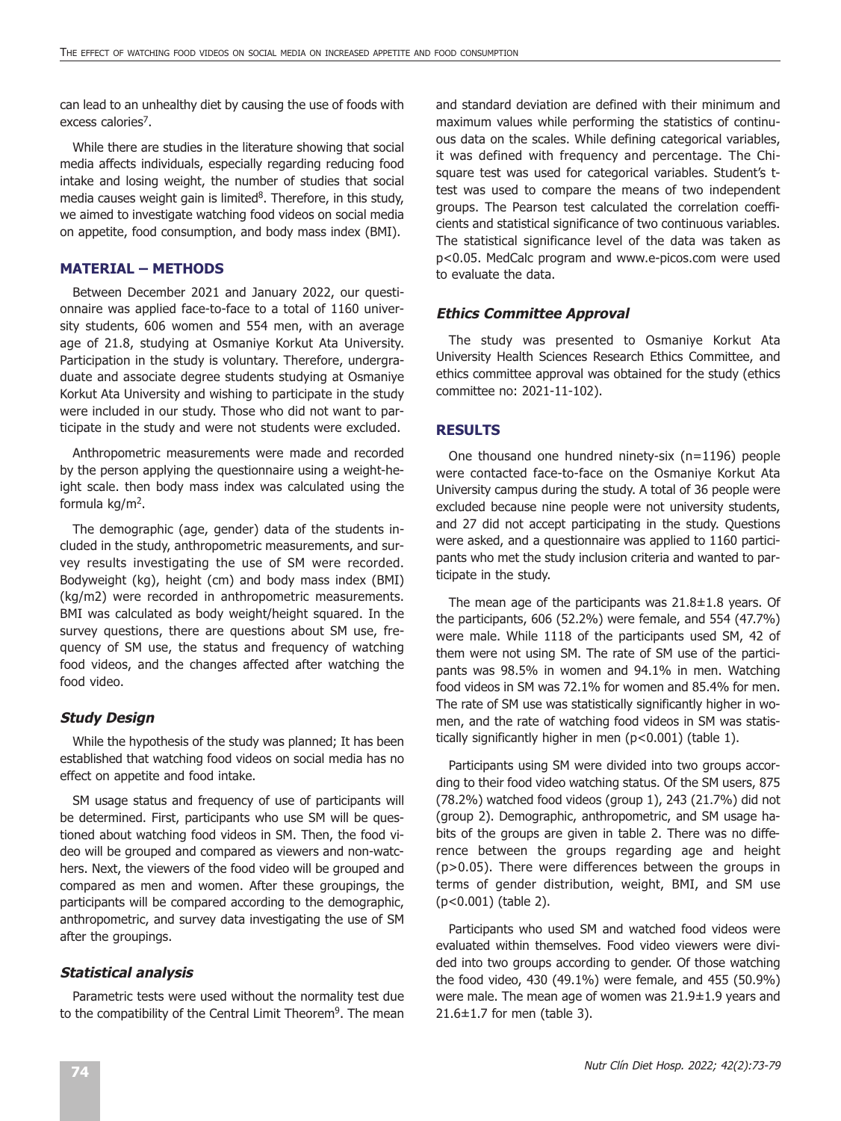can lead to an unhealthy diet by causing the use of foods with excess calories<sup>7</sup>.

While there are studies in the literature showing that social media affects individuals, especially regarding reducing food intake and losing weight, the number of studies that social media causes weight gain is limited<sup>8</sup>. Therefore, in this study, we aimed to investigate watching food videos on social media on appetite, food consumption, and body mass index (BMI).

# **MATERIAL – METHODS**

Between December 2021 and January 2022, our questionnaire was applied face-to-face to a total of 1160 university students, 606 women and 554 men, with an average age of 21.8, studying at Osmaniye Korkut Ata University. Participation in the study is voluntary. Therefore, undergraduate and associate degree students studying at Osmaniye Korkut Ata University and wishing to participate in the study were included in our study. Those who did not want to participate in the study and were not students were excluded.

Anthropometric measurements were made and recorded by the person applying the questionnaire using a weight-height scale. then body mass index was calculated using the formula  $kg/m<sup>2</sup>$ .

The demographic (age, gender) data of the students included in the study, anthropometric measurements, and survey results investigating the use of SM were recorded. Bodyweight (kg), height (cm) and body mass index (BMI) (kg/m2) were recorded in anthropometric measurements. BMI was calculated as body weight/height squared. In the survey questions, there are questions about SM use, frequency of SM use, the status and frequency of watching food videos, and the changes affected after watching the food video.

# **Study Design**

While the hypothesis of the study was planned; It has been established that watching food videos on social media has no effect on appetite and food intake.

SM usage status and frequency of use of participants will be determined. First, participants who use SM will be questioned about watching food videos in SM. Then, the food video will be grouped and compared as viewers and non-watchers. Next, the viewers of the food video will be grouped and compared as men and women. After these groupings, the participants will be compared according to the demographic, anthropometric, and survey data investigating the use of SM after the groupings.

# **Statistical analysis**

Parametric tests were used without the normality test due to the compatibility of the Central Limit Theorem<sup>9</sup>. The mean

and standard deviation are defined with their minimum and maximum values while performing the statistics of continuous data on the scales. While defining categorical variables, it was defined with frequency and percentage. The Chisquare test was used for categorical variables. Student's ttest was used to compare the means of two independent groups. The Pearson test calculated the correlation coefficients and statistical significance of two continuous variables. The statistical significance level of the data was taken as p<0.05. MedCalc program and www.e-picos.com were used to evaluate the data.

## **Ethics Committee Approval**

The study was presented to Osmaniye Korkut Ata University Health Sciences Research Ethics Committee, and ethics committee approval was obtained for the study (ethics committee no: 2021-11-102).

### **RESULTS**

One thousand one hundred ninety-six (n=1196) people were contacted face-to-face on the Osmaniye Korkut Ata University campus during the study. A total of 36 people were excluded because nine people were not university students, and 27 did not accept participating in the study. Questions were asked, and a questionnaire was applied to 1160 participants who met the study inclusion criteria and wanted to participate in the study.

The mean age of the participants was 21.8±1.8 years. Of the participants, 606 (52.2%) were female, and 554 (47.7%) were male. While 1118 of the participants used SM, 42 of them were not using SM. The rate of SM use of the participants was 98.5% in women and 94.1% in men. Watching food videos in SM was 72.1% for women and 85.4% for men. The rate of SM use was statistically significantly higher in women, and the rate of watching food videos in SM was statistically significantly higher in men (p<0.001) (table 1).

Participants using SM were divided into two groups according to their food video watching status. Of the SM users, 875 (78.2%) watched food videos (group 1), 243 (21.7%) did not (group 2). Demographic, anthropometric, and SM usage habits of the groups are given in table 2. There was no difference between the groups regarding age and height (p>0.05). There were differences between the groups in terms of gender distribution, weight, BMI, and SM use (p<0.001) (table 2).

Participants who used SM and watched food videos were evaluated within themselves. Food video viewers were divided into two groups according to gender. Of those watching the food video, 430 (49.1%) were female, and 455 (50.9%) were male. The mean age of women was 21.9±1.9 years and 21.6±1.7 for men (table 3).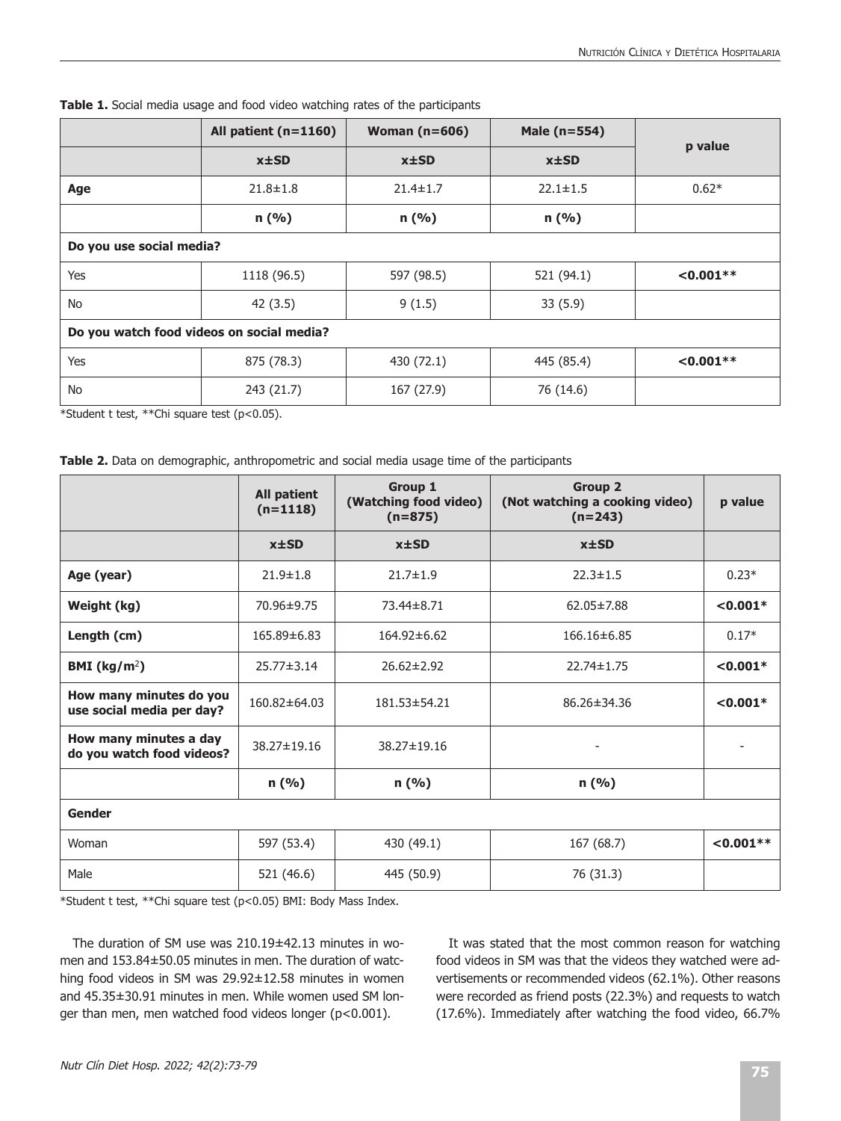|                                           | All patient (n=1160) | Woman $(n=606)$ | Male (n=554)   | p value     |  |  |
|-------------------------------------------|----------------------|-----------------|----------------|-------------|--|--|
|                                           | $x \pm SD$           | $x \pm SD$      | $x \pm SD$     |             |  |  |
| Age                                       | $21.8 \pm 1.8$       | $21.4 \pm 1.7$  | $22.1 \pm 1.5$ | $0.62*$     |  |  |
|                                           | n(%)                 | n(%)            | n(%)           |             |  |  |
| Do you use social media?                  |                      |                 |                |             |  |  |
| Yes                                       | 1118 (96.5)          | 597 (98.5)      | 521 (94.1)     | $< 0.001**$ |  |  |
| No                                        | 42(3.5)              | 9(1.5)          | 33(5.9)        |             |  |  |
| Do you watch food videos on social media? |                      |                 |                |             |  |  |
| Yes                                       | 875 (78.3)           | 430 (72.1)      | 445 (85.4)     | $< 0.001**$ |  |  |
| No                                        | 243 (21.7)           | 167 (27.9)      | 76 (14.6)      |             |  |  |

**Table 1.** Social media usage and food video watching rates of the participants

\*Student t test, \*\*Chi square test (p<0.05).

|  | <b>Table 2.</b> Data on demographic, anthropometric and social media usage time of the participants |  |  |
|--|-----------------------------------------------------------------------------------------------------|--|--|
|  |                                                                                                     |  |  |

|                                                      | <b>All patient</b><br>$(n=1118)$ | Group 1<br>(Watching food video)<br>$(n=875)$ | <b>Group 2</b><br>(Not watching a cooking video)<br>$(n=243)$ | p value     |  |  |
|------------------------------------------------------|----------------------------------|-----------------------------------------------|---------------------------------------------------------------|-------------|--|--|
|                                                      | $x \pm SD$                       | $x \pm SD$                                    | $x \pm SD$                                                    |             |  |  |
| Age (year)                                           | $21.9 \pm 1.8$                   | $21.7 \pm 1.9$                                | $22.3 \pm 1.5$                                                | $0.23*$     |  |  |
| Weight (kg)                                          | 70.96±9.75                       | 73.44±8.71                                    | $< 0.001*$<br>62.05±7.88                                      |             |  |  |
| Length (cm)                                          | 165.89±6.83                      | 164.92±6.62                                   | 166.16±6.85<br>$0.17*$                                        |             |  |  |
| BMI ( $\text{kg/m}^2$ )                              | $25.77 \pm 3.14$                 | $26.62 \pm 2.92$                              | 22.74±1.75                                                    | $< 0.001*$  |  |  |
| How many minutes do you<br>use social media per day? | 160.82±64.03                     | 181.53±54.21                                  | 86.26±34.36                                                   | $< 0.001*$  |  |  |
| How many minutes a day<br>do you watch food videos?  | 38.27±19.16                      | 38.27±19.16                                   |                                                               |             |  |  |
|                                                      | n(%)                             | n(%)                                          | n(%)                                                          |             |  |  |
| Gender                                               |                                  |                                               |                                                               |             |  |  |
| Woman                                                | 597 (53.4)                       | 430 (49.1)                                    | 167 (68.7)                                                    | $< 0.001**$ |  |  |
| Male                                                 | 521 (46.6)                       | 445 (50.9)                                    | 76 (31.3)                                                     |             |  |  |

\*Student t test, \*\*Chi square test (p<0.05) BMI: Body Mass Index.

The duration of SM use was 210.19±42.13 minutes in women and 153.84±50.05 minutes in men. The duration of watching food videos in SM was 29.92±12.58 minutes in women and 45.35±30.91 minutes in men. While women used SM longer than men, men watched food videos longer (p<0.001).

It was stated that the most common reason for watching food videos in SM was that the videos they watched were advertisements or recommended videos (62.1%). Other reasons were recorded as friend posts (22.3%) and requests to watch (17.6%). Immediately after watching the food video, 66.7%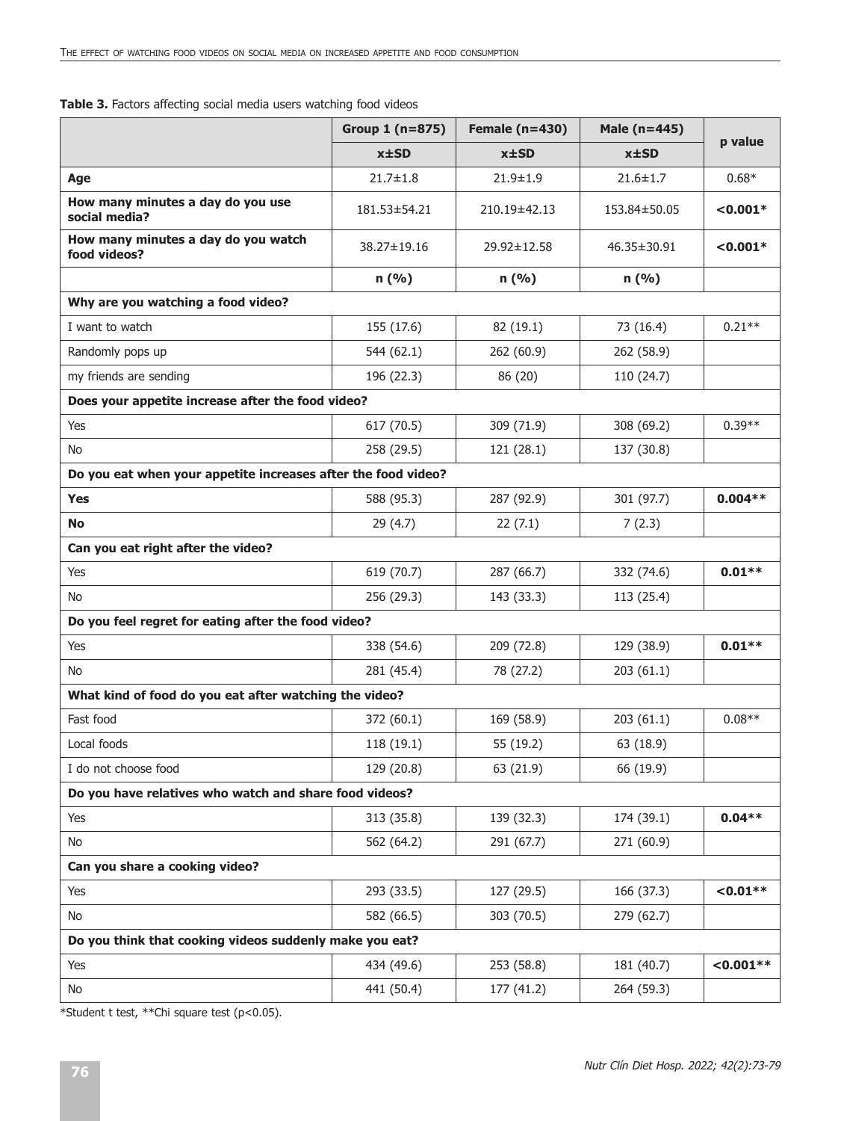| Table 3. Factors affecting social media users watching food videos |  |  |  |
|--------------------------------------------------------------------|--|--|--|
|--------------------------------------------------------------------|--|--|--|

|                                                               | Group $1(n=875)$   | Female $(n=430)$ | Male (n=445)   | p value     |  |
|---------------------------------------------------------------|--------------------|------------------|----------------|-------------|--|
|                                                               | $x \pm SD$         | $x \pm SD$       | $x \pm SD$     |             |  |
| Age                                                           | $21.7 \pm 1.8$     | $21.9 \pm 1.9$   | $21.6 \pm 1.7$ | $0.68*$     |  |
| How many minutes a day do you use<br>social media?            | $181.53 \pm 54.21$ | 210.19±42.13     | 153.84±50.05   | $< 0.001*$  |  |
| How many minutes a day do you watch<br>food videos?           | 38.27±19.16        | 29.92±12.58      | 46.35±30.91    | $< 0.001*$  |  |
|                                                               | n (%)              | n (%)            | n(%)           |             |  |
| Why are you watching a food video?                            |                    |                  |                |             |  |
| I want to watch                                               | 155 (17.6)         | 82 (19.1)        | 73 (16.4)      | $0.21**$    |  |
| Randomly pops up                                              | 544 (62.1)         | 262 (60.9)       | 262 (58.9)     |             |  |
| my friends are sending                                        | 196 (22.3)         | 86 (20)          | 110 (24.7)     |             |  |
| Does your appetite increase after the food video?             |                    |                  |                |             |  |
| Yes                                                           | 617 (70.5)         | 309 (71.9)       | 308 (69.2)     | $0.39**$    |  |
| No                                                            | 258 (29.5)         | 121 (28.1)       | 137 (30.8)     |             |  |
| Do you eat when your appetite increases after the food video? |                    |                  |                |             |  |
| <b>Yes</b>                                                    | 588 (95.3)         | 287 (92.9)       | 301 (97.7)     | $0.004**$   |  |
| No                                                            | 29 (4.7)           | 22(7.1)          | 7(2.3)         |             |  |
| Can you eat right after the video?                            |                    |                  |                |             |  |
| Yes                                                           | 619 (70.7)         | 287 (66.7)       | 332 (74.6)     | $0.01**$    |  |
| <b>No</b>                                                     | 256 (29.3)         | 143 (33.3)       | 113 (25.4)     |             |  |
| Do you feel regret for eating after the food video?           |                    |                  |                |             |  |
| Yes                                                           | 338 (54.6)         | 209 (72.8)       | 129 (38.9)     | $0.01**$    |  |
| No                                                            | 281 (45.4)         | 78 (27.2)        | 203(61.1)      |             |  |
| What kind of food do you eat after watching the video?        |                    |                  |                |             |  |
| Fast food                                                     | 372 (60.1)         | 169 (58.9)       | 203(61.1)      | $0.08**$    |  |
| Local foods                                                   | 118 (19.1)         | 55 (19.2)        | 63 (18.9)      |             |  |
| I do not choose food                                          | 129 (20.8)         | 63 (21.9)        | 66 (19.9)      |             |  |
| Do you have relatives who watch and share food videos?        |                    |                  |                |             |  |
| Yes                                                           | 313 (35.8)         | 139 (32.3)       | 174 (39.1)     | $0.04**$    |  |
| No                                                            | 562 (64.2)         | 291 (67.7)       | 271 (60.9)     |             |  |
| Can you share a cooking video?                                |                    |                  |                |             |  |
| Yes                                                           | 293 (33.5)         | 127 (29.5)       | 166 (37.3)     | $< 0.01**$  |  |
| No                                                            | 582 (66.5)         | 303 (70.5)       | 279 (62.7)     |             |  |
| Do you think that cooking videos suddenly make you eat?       |                    |                  |                |             |  |
| Yes                                                           | 434 (49.6)         | 253 (58.8)       | 181 (40.7)     | $< 0.001**$ |  |
| No                                                            | 441 (50.4)         | 177 (41.2)       | 264 (59.3)     |             |  |

\*Student t test, \*\*Chi square test (p<0.05).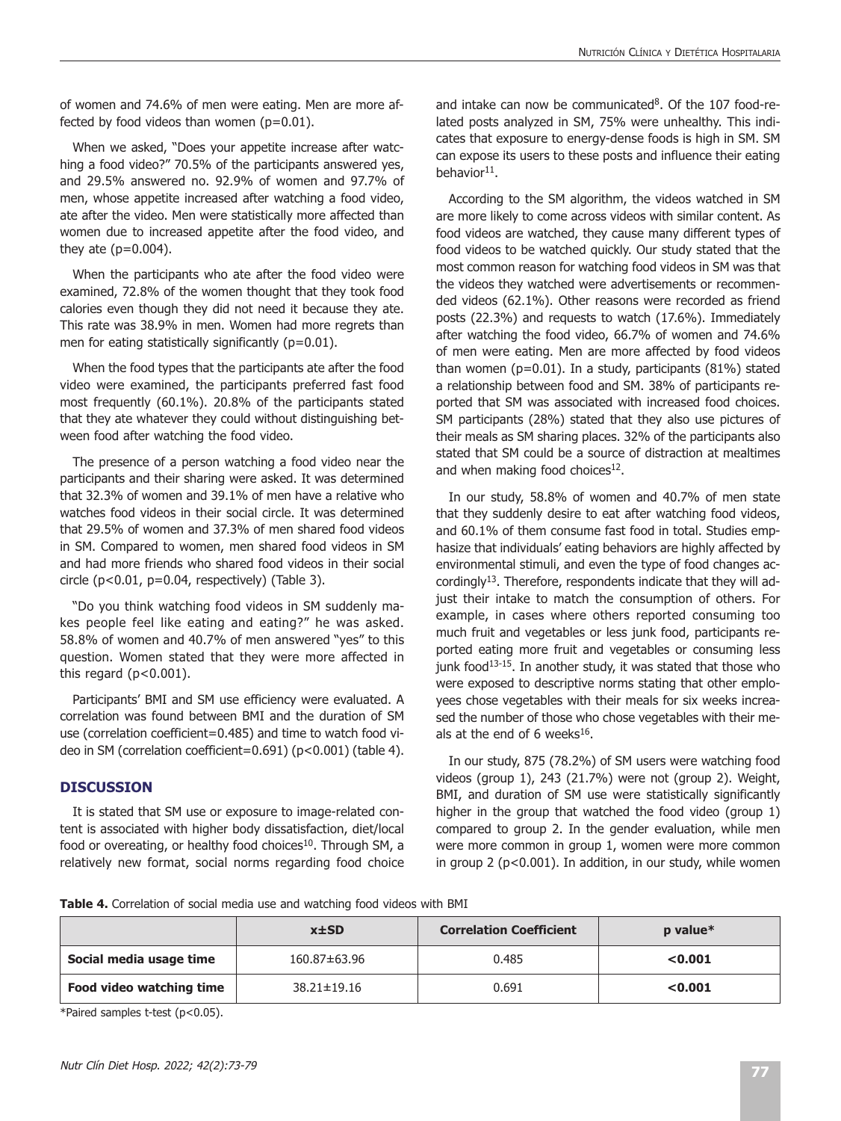of women and 74.6% of men were eating. Men are more affected by food videos than women  $(p=0.01)$ .

When we asked, "Does your appetite increase after watching a food video?" 70.5% of the participants answered yes, and 29.5% answered no. 92.9% of women and 97.7% of men, whose appetite increased after watching a food video, ate after the video. Men were statistically more affected than women due to increased appetite after the food video, and they ate  $(p=0.004)$ .

When the participants who ate after the food video were examined, 72.8% of the women thought that they took food calories even though they did not need it because they ate. This rate was 38.9% in men. Women had more regrets than men for eating statistically significantly (p=0.01).

When the food types that the participants ate after the food video were examined, the participants preferred fast food most frequently (60.1%). 20.8% of the participants stated that they ate whatever they could without distinguishing between food after watching the food video.

The presence of a person watching a food video near the participants and their sharing were asked. It was determined that 32.3% of women and 39.1% of men have a relative who watches food videos in their social circle. It was determined that 29.5% of women and 37.3% of men shared food videos in SM. Compared to women, men shared food videos in SM and had more friends who shared food videos in their social circle (p<0.01, p=0.04, respectively) (Table 3).

"Do you think watching food videos in SM suddenly makes people feel like eating and eating?" he was asked. 58.8% of women and 40.7% of men answered "yes" to this question. Women stated that they were more affected in this regard  $(p<0.001)$ .

Participants' BMI and SM use efficiency were evaluated. A correlation was found between BMI and the duration of SM use (correlation coefficient=0.485) and time to watch food video in SM (correlation coefficient=0.691) (p<0.001) (table 4).

# **DISCUSSION**

It is stated that SM use or exposure to image-related content is associated with higher body dissatisfaction, diet/local food or overeating, or healthy food choices<sup>10</sup>. Through SM, a relatively new format, social norms regarding food choice

and intake can now be communicated $8$ . Of the 107 food-related posts analyzed in SM, 75% were unhealthy. This indicates that exposure to energy-dense foods is high in SM. SM can expose its users to these posts and influence their eating behavior $11$ .

According to the SM algorithm, the videos watched in SM are more likely to come across videos with similar content. As food videos are watched, they cause many different types of food videos to be watched quickly. Our study stated that the most common reason for watching food videos in SM was that the videos they watched were advertisements or recommended videos (62.1%). Other reasons were recorded as friend posts (22.3%) and requests to watch (17.6%). Immediately after watching the food video, 66.7% of women and 74.6% of men were eating. Men are more affected by food videos than women ( $p=0.01$ ). In a study, participants (81%) stated a relationship between food and SM. 38% of participants reported that SM was associated with increased food choices. SM participants (28%) stated that they also use pictures of their meals as SM sharing places. 32% of the participants also stated that SM could be a source of distraction at mealtimes and when making food choices $12$ .

In our study, 58.8% of women and 40.7% of men state that they suddenly desire to eat after watching food videos, and 60.1% of them consume fast food in total. Studies emphasize that individuals' eating behaviors are highly affected by environmental stimuli, and even the type of food changes accordingly13. Therefore, respondents indicate that they will adjust their intake to match the consumption of others. For example, in cases where others reported consuming too much fruit and vegetables or less junk food, participants reported eating more fruit and vegetables or consuming less junk food<sup>13-15</sup>. In another study, it was stated that those who were exposed to descriptive norms stating that other employees chose vegetables with their meals for six weeks increased the number of those who chose vegetables with their meals at the end of 6 weeks $16$ .

In our study, 875 (78.2%) of SM users were watching food videos (group 1), 243 (21.7%) were not (group 2). Weight, BMI, and duration of SM use were statistically significantly higher in the group that watched the food video (group 1) compared to group 2. In the gender evaluation, while men were more common in group 1, women were more common in group 2 (p<0.001). In addition, in our study, while women

**Table 4.** Correlation of social media use and watching food videos with BMI

|                          | $x \pm SD$        | <b>Correlation Coefficient</b> | $p$ value $*$ |
|--------------------------|-------------------|--------------------------------|---------------|
| Social media usage time  | 160.87±63.96      | 0.485                          | < 0.001       |
| Food video watching time | $38.21 \pm 19.16$ | 0.691                          | < 0.001       |

\*Paired samples t-test (p<0.05).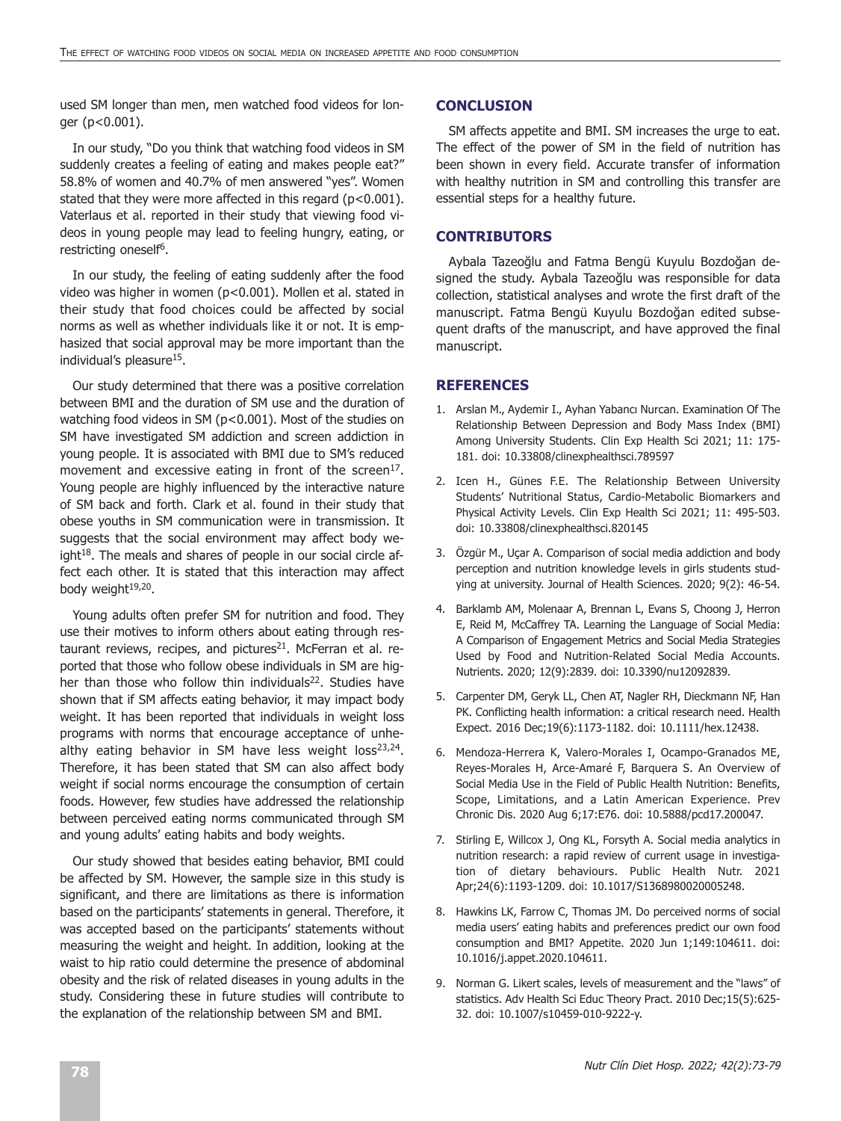used SM longer than men, men watched food videos for longer (p<0.001).

In our study, "Do you think that watching food videos in SM suddenly creates a feeling of eating and makes people eat?" 58.8% of women and 40.7% of men answered "yes". Women stated that they were more affected in this regard ( $p$ <0.001). Vaterlaus et al. reported in their study that viewing food videos in young people may lead to feeling hungry, eating, or restricting oneself<sup>6</sup>.

In our study, the feeling of eating suddenly after the food video was higher in women (p<0.001). Mollen et al. stated in their study that food choices could be affected by social norms as well as whether individuals like it or not. It is emphasized that social approval may be more important than the individual's pleasure<sup>15</sup>.

Our study determined that there was a positive correlation between BMI and the duration of SM use and the duration of watching food videos in SM (p<0.001). Most of the studies on SM have investigated SM addiction and screen addiction in young people. It is associated with BMI due to SM's reduced movement and excessive eating in front of the screen<sup>17</sup>. Young people are highly influenced by the interactive nature of SM back and forth. Clark et al. found in their study that obese youths in SM communication were in transmission. It suggests that the social environment may affect body weight $18$ . The meals and shares of people in our social circle affect each other. It is stated that this interaction may affect body weight<sup>19,20</sup>.

Young adults often prefer SM for nutrition and food. They use their motives to inform others about eating through restaurant reviews, recipes, and pictures $21$ . McFerran et al. reported that those who follow obese individuals in SM are higher than those who follow thin individuals<sup>22</sup>. Studies have shown that if SM affects eating behavior, it may impact body weight. It has been reported that individuals in weight loss programs with norms that encourage acceptance of unhealthy eating behavior in SM have less weight  $loss^{23,24}$ . Therefore, it has been stated that SM can also affect body weight if social norms encourage the consumption of certain foods. However, few studies have addressed the relationship between perceived eating norms communicated through SM and young adults' eating habits and body weights.

Our study showed that besides eating behavior, BMI could be affected by SM. However, the sample size in this study is significant, and there are limitations as there is information based on the participants' statements in general. Therefore, it was accepted based on the participants' statements without measuring the weight and height. In addition, looking at the waist to hip ratio could determine the presence of abdominal obesity and the risk of related diseases in young adults in the study. Considering these in future studies will contribute to the explanation of the relationship between SM and BMI.

#### **CONCLUSION**

SM affects appetite and BMI. SM increases the urge to eat. The effect of the power of SM in the field of nutrition has been shown in every field. Accurate transfer of information with healthy nutrition in SM and controlling this transfer are essential steps for a healthy future.

### **CONTRIBUTORS**

Aybala Tazeoğlu and Fatma Bengü Kuyulu Bozdoğan designed the study. Aybala Tazeoğlu was responsible for data collection, statistical analyses and wrote the first draft of the manuscript. Fatma Bengü Kuyulu Bozdoğan edited subsequent drafts of the manuscript, and have approved the final manuscript.

### **REFERENCES**

- 1. Arslan M., Aydemir I., Ayhan Yabancı Nurcan. Examination Of The Relationship Between Depression and Body Mass Index (BMI) Among University Students. Clin Exp Health Sci 2021; 11: 175- 181. doi: 10.33808/clinexphealthsci.789597
- 2. Icen H., Günes F.E. The Relationship Between University Students' Nutritional Status, Cardio-Metabolic Biomarkers and Physical Activity Levels. Clin Exp Health Sci 2021; 11: 495-503. doi: 10.33808/clinexphealthsci.820145
- 3. Özgür M., Uçar A. Comparison of social media addiction and body perception and nutrition knowledge levels in girls students studying at university. Journal of Health Sciences. 2020; 9(2): 46-54.
- 4. Barklamb AM, Molenaar A, Brennan L, Evans S, Choong J, Herron E, Reid M, McCaffrey TA. Learning the Language of Social Media: A Comparison of Engagement Metrics and Social Media Strategies Used by Food and Nutrition-Related Social Media Accounts. Nutrients. 2020; 12(9):2839. doi: 10.3390/nu12092839.
- 5. Carpenter DM, Geryk LL, Chen AT, Nagler RH, Dieckmann NF, Han PK. Conflicting health information: a critical research need. Health Expect. 2016 Dec;19(6):1173-1182. doi: 10.1111/hex.12438.
- 6. Mendoza-Herrera K, Valero-Morales I, Ocampo-Granados ME, Reyes-Morales H, Arce-Amaré F, Barquera S. An Overview of Social Media Use in the Field of Public Health Nutrition: Benefits, Scope, Limitations, and a Latin American Experience. Prev Chronic Dis. 2020 Aug 6;17:E76. doi: 10.5888/pcd17.200047.
- 7. Stirling E, Willcox J, Ong KL, Forsyth A. Social media analytics in nutrition research: a rapid review of current usage in investigation of dietary behaviours. Public Health Nutr. 2021 Apr;24(6):1193-1209. doi: 10.1017/S1368980020005248.
- 8. Hawkins LK, Farrow C, Thomas JM. Do perceived norms of social media users' eating habits and preferences predict our own food consumption and BMI? Appetite. 2020 Jun 1;149:104611. doi: 10.1016/j.appet.2020.104611.
- 9. Norman G. Likert scales, levels of measurement and the "laws" of statistics. Adv Health Sci Educ Theory Pract. 2010 Dec;15(5):625- 32. doi: 10.1007/s10459-010-9222-y.